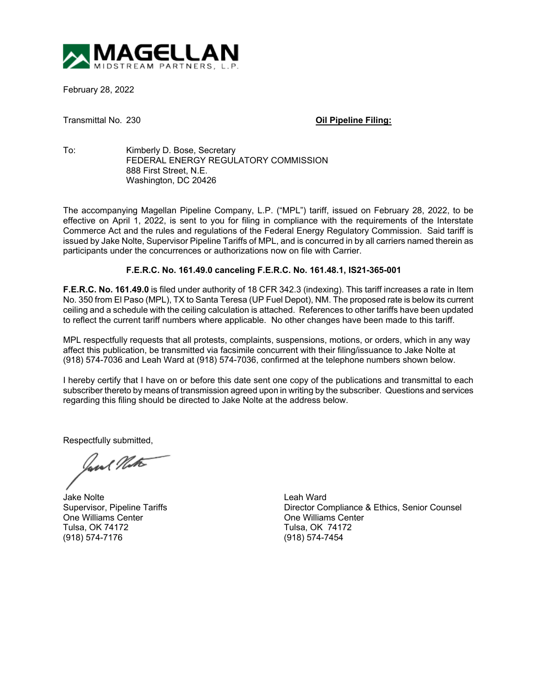

February 28, 2022

Transmittal No. 230 **Oil Pipeline Filing:**

To: Kimberly D. Bose, Secretary FEDERAL ENERGY REGULATORY COMMISSION 888 First Street, N.E. Washington, DC 20426

The accompanying Magellan Pipeline Company, L.P. ("MPL") tariff, issued on February 28, 2022, to be effective on April 1, 2022, is sent to you for filing in compliance with the requirements of the Interstate Commerce Act and the rules and regulations of the Federal Energy Regulatory Commission. Said tariff is issued by Jake Nolte, Supervisor Pipeline Tariffs of MPL, and is concurred in by all carriers named therein as participants under the concurrences or authorizations now on file with Carrier.

## **F.E.R.C. No. 161.49.0 canceling F.E.R.C. No. 161.48.1, IS21-365-001**

**F.E.R.C. No. 161.49.0** is filed under authority of 18 CFR 342.3 (indexing). This tariff increases a rate in Item No. 350 from El Paso (MPL), TX to Santa Teresa (UP Fuel Depot), NM. The proposed rate is below its current ceiling and a schedule with the ceiling calculation is attached. References to other tariffs have been updated to reflect the current tariff numbers where applicable. No other changes have been made to this tariff.

MPL respectfully requests that all protests, complaints, suspensions, motions, or orders, which in any way affect this publication, be transmitted via facsimile concurrent with their filing/issuance to Jake Nolte at (918) 574-7036 and Leah Ward at (918) 574-7036, confirmed at the telephone numbers shown below.

I hereby certify that I have on or before this date sent one copy of the publications and transmittal to each subscriber thereto by means of transmission agreed upon in writing by the subscriber. Questions and services regarding this filing should be directed to Jake Nolte at the address below.

Respectfully submitted,

Jane Note

Jake Nolte Leah Ward One Williams Center **One Williams Center** Center **One Williams Center** Center Tulsa. OK 74172 (918) 574-7176 (918) 574-7454

Director Compliance & Ethics, Senior Counsel Tulsa, OK 74172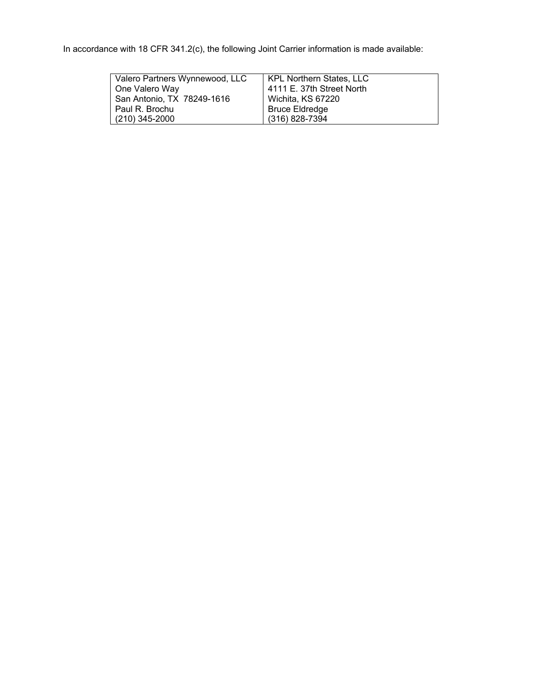In accordance with 18 CFR 341.2(c), the following Joint Carrier information is made available:

| Valero Partners Wynnewood, LLC | KPL Northern States, LLC  |  |  |  |
|--------------------------------|---------------------------|--|--|--|
| One Valero Way                 | 4111 E. 37th Street North |  |  |  |
| San Antonio, TX 78249-1616     | Wichita, KS 67220         |  |  |  |
| I Paul R. Brochu               | <b>Bruce Eldredge</b>     |  |  |  |
| $(210)$ 345-2000               | (316) 828-7394            |  |  |  |